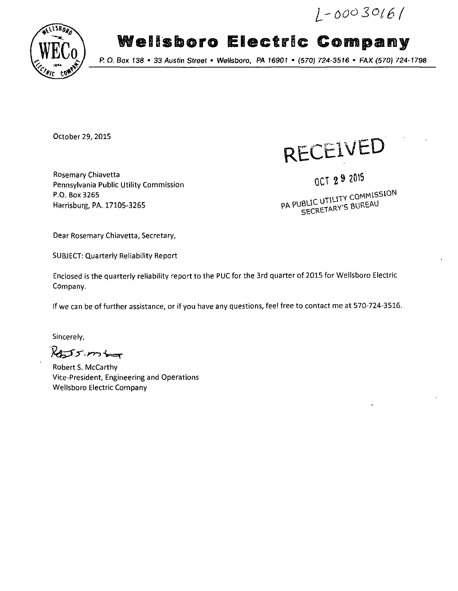$L - 00030161$ 



# **Wellsboro Electric Company**

*P. O. Box 138 • 33 Austin Street • Weifsboro, PA 16901 • (570) 724-3516 \* FAX (570) 724-1798* 

October 29, 2015

RECEIVED

Rosemary Chiavetta Pennsylvania Public Utility Commission P.O. Box 3265 Harrisburg, PA. 17105-3265

*OCT 2 » ^* 

**CUTH ITY COMMISSION** 

Dear Rosemary Chiavetta, Secretary,

SUBJECT: Quarterly Reliability Report

Enclosed is the quarterly reliability report to the PUC for the 3rd quarter of 2015 for Wellsboro Electric Company.

If we can be of further assistance, or if you have any questions, feel free to contact me at 570-724-3516.

Sincerely,

 $R_{225}$ mb

Robert S. McCarthy Vice-President, Engineering and Operations Wellsboro Electric Company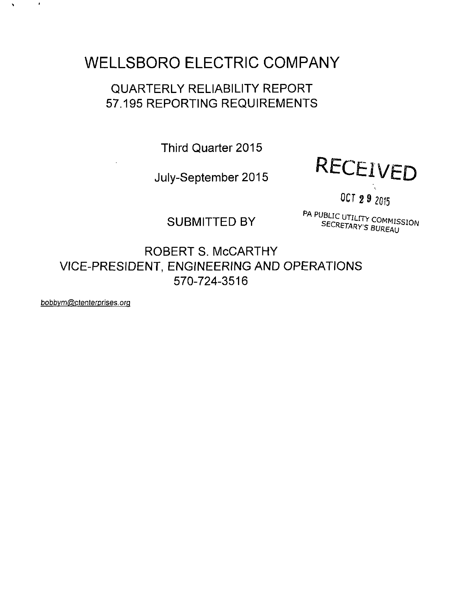## **WELLSBORO ELECTRIC COMPANY**

### QUARTERLY RELIABILITY REPORT 57.195 REPORTING REQUIREMENTS

Third Quarter 2015

July-September 2015



OCT 29 2015

SUBMITTED BY SECRETARY'S BUREAU PA PUBLIC UTILITY COMMISSION

ROBERT S. McCARTHY VICE-PRESIDENT, ENGINEERING AND OPERATIONS 570-724-3516

bobbvm@ctenterprises.orq

 $\bullet$ 

 $\hat{\textbf{v}}$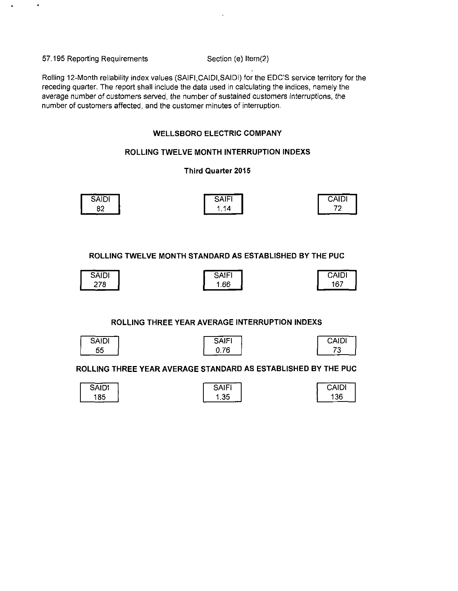57.195 Reporting Requirements Section (e) Item(2)

Roiling 12-Month reliability index values (SAIFI.CAIDI.SAIDI) for the EDC'S service territory for the receding quarter. The report shall include the data used in calculating the indices, namely the average number of customers served, the number of sustained customers interruptions, the number of customers affected, and the customer minutes of interruption.

#### **WELLSBORO ELECTRIC COMPANY**

#### **ROLLING TWELVE MONTH INTERRUPTION INDEXS**

#### **Third Quarter 2015**

| ----  |                      |              |
|-------|----------------------|--------------|
| SAIDI | $S$ $A$ $F'$<br>זורט | <b>CAIDI</b> |
| 82    | .14                  | -0           |

**ROLLING TWELVE MONTH STANDARD AS ESTABLISHED BY THE PUC** 

| <b>SAIDI</b> | <b>SAIFI</b> | CAIDI |
|--------------|--------------|-------|
| 278          | .66          | 167   |

#### **ROLLING THREE YEAR AVERAGE INTERRUPTION INDEXS**

| ≺AH<br>ונו |
|------------|
|            |

| SAIFI |  |
|-------|--|
| U.76  |  |

| CAIDI |  |
|-------|--|
| ્ર    |  |

#### **ROLLING THREE YEAR AVERAGE STANDARD AS ESTABLISHED BY THE PUC**

| <b>SAIDI</b> | SAIF' | CAIDI |
|--------------|-------|-------|
| 185          | .35   | 36    |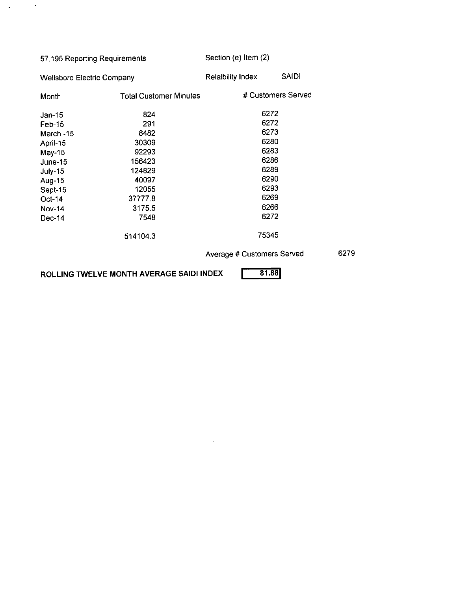| 57.195 Reporting Requirements<br><b>Wellsboro Electric Company</b> |          | Section (e) Item (2)       |              |  |  |
|--------------------------------------------------------------------|----------|----------------------------|--------------|--|--|
|                                                                    |          | <b>Relaibility Index</b>   | <b>SAIDI</b> |  |  |
| <b>Total Customer Minutes</b><br>Month                             |          | # Customers Served         |              |  |  |
| $Jan-15$                                                           | 824      | 6272                       |              |  |  |
| Feb-15                                                             | 291      |                            | 6272         |  |  |
| March -15                                                          | 8482     |                            | 6273         |  |  |
| 30309<br>April-15                                                  |          | 6280                       |              |  |  |
| 92293<br>May-15                                                    |          | 6283                       |              |  |  |
| 156423<br>June-15                                                  |          | 6286                       |              |  |  |
| 124829<br>July-15                                                  |          |                            | 6289         |  |  |
| 40097<br>Aug-15                                                    |          |                            | 6290         |  |  |
| 12055<br>Sept-15                                                   |          | 6293                       |              |  |  |
| 37777.8<br>Oct-14                                                  |          | 6269                       |              |  |  |
| 31755<br><b>Nov-14</b>                                             |          | 6266                       |              |  |  |
| 7548<br>Dec-14                                                     |          | 6272                       |              |  |  |
|                                                                    | 514104.3 | 75345                      |              |  |  |
|                                                                    |          | Average # Customers Served |              |  |  |

ROLLING TWELVE MONTH AVERAGE SAIDI INDEX **1981.88** 

 $\mathcal{L}_{\text{max}}$  and  $\mathcal{L}_{\text{max}}$ 

6279

 $\sim 40$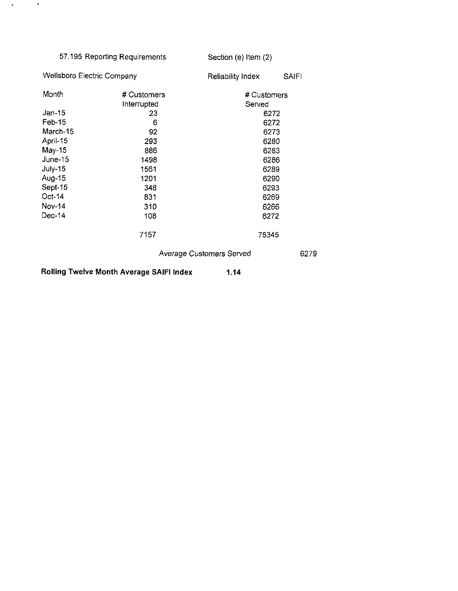| 57.195 Reporting Requirements<br><b>Wellsboro Electric Company</b> |             | Section (e) Item (2)     |              |  |  |
|--------------------------------------------------------------------|-------------|--------------------------|--------------|--|--|
|                                                                    |             | Reliability Index        | <b>SAIFI</b> |  |  |
| Month                                                              | # Customers | # Customers              |              |  |  |
|                                                                    | Interrupted | Served                   |              |  |  |
| Jan-15                                                             | 23          | 6272                     |              |  |  |
| Feb-15                                                             | 6           | 6272                     |              |  |  |
| March-15                                                           | 92          | 6273                     |              |  |  |
| April-15<br>293                                                    |             |                          | 6280         |  |  |
| $May-15$<br>886                                                    |             | 6283                     |              |  |  |
| June-15                                                            | 1498        | 6286                     |              |  |  |
| July-15                                                            | 1561        | 6289                     |              |  |  |
| Aug-15                                                             | 1201        | 6290                     |              |  |  |
| Sept-15                                                            | 348         | 6293                     |              |  |  |
| Oct-14<br>831                                                      |             | 6269                     |              |  |  |
| <b>Nov-14</b>                                                      | 310         | 6266                     |              |  |  |
| $Dec-14$                                                           | 108         | 6272                     |              |  |  |
|                                                                    | 7157        | 75345                    |              |  |  |
|                                                                    |             | Average Customers Served | 6279         |  |  |

**Rolling Twelve Month Average SAIFI Index 1.14** 

 $\lambda_{\rm{max}}=2$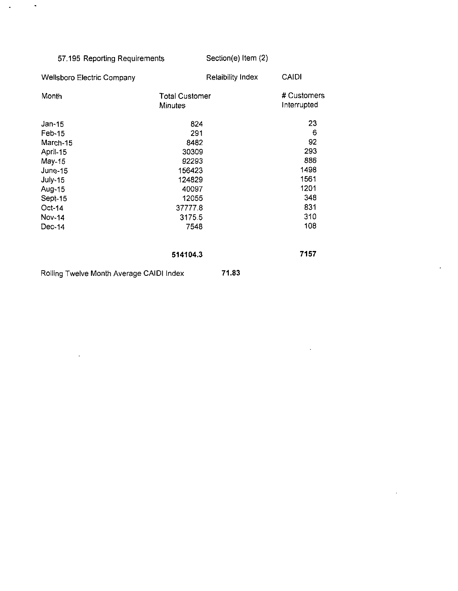### 57.195 Reporting Requirements

 $\sim$   $\sim$ 

 $\hat{\textbf{z}}$ 

 $\ddot{\phantom{a}}$ 

Section(e) Item (2)

 $\ddot{\phantom{a}}$ 

 $\ddot{\phantom{a}}$ 

÷,

| <b>Wellsboro Electric Company</b>        | <b>Relaibility Index</b>                | <b>CAIDI</b>               |
|------------------------------------------|-----------------------------------------|----------------------------|
| Month                                    | <b>Total Customer</b><br><b>Minutes</b> | # Customers<br>Interrupted |
| Jan-15                                   | 824                                     | 23                         |
| Feb-15                                   | 291                                     | 6                          |
| March-15                                 | 8482                                    | 92                         |
| April-15                                 | 30309                                   | 293                        |
| May-15                                   | 92293                                   | 886                        |
| June-15                                  | 156423                                  | 1498                       |
| <b>July-15</b>                           | 124829                                  | 1561                       |
| Aug-15                                   | 40097                                   | 1201                       |
| Sept-15                                  | 12055                                   | 348                        |
| $Oct-14$                                 | 37777.8                                 | 831                        |
| Nov-14                                   | 31755                                   | 310                        |
| $Dec-14$                                 | 7548                                    | 108                        |
|                                          | 514104.3                                | 7157                       |
| Rolling Twelve Month Average CAIDI Index | 71.83                                   |                            |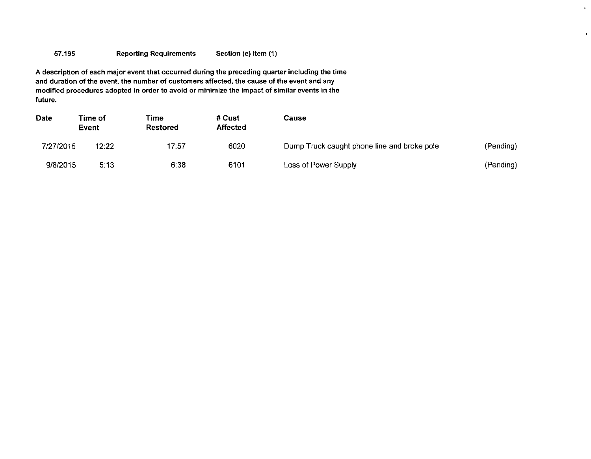#### 57.195 Reporting Requirements Section (e) Item (1)

A description of each major event that occurred during the preceding quarter including the time and duration of the event, the number of customers affected, the cause of the event and any modified procedures adopted in order to avoid or minimize the impact of similar events in the future.

| <b>Date</b> | Time of<br>Event | Time<br><b>Restored</b> | # Cust<br><b>Affected</b> | Cause                                       |           |
|-------------|------------------|-------------------------|---------------------------|---------------------------------------------|-----------|
| 7/27/2015   | 12:22            | 17:57                   | 6020                      | Dump Truck caught phone line and broke pole | (Pending) |
| 9/8/2015    | 5:13             | 6.38                    | 6101                      | Loss of Power Supply                        | (Pending) |

 $\mathbf{r}$ 

 $\mathbf{r}$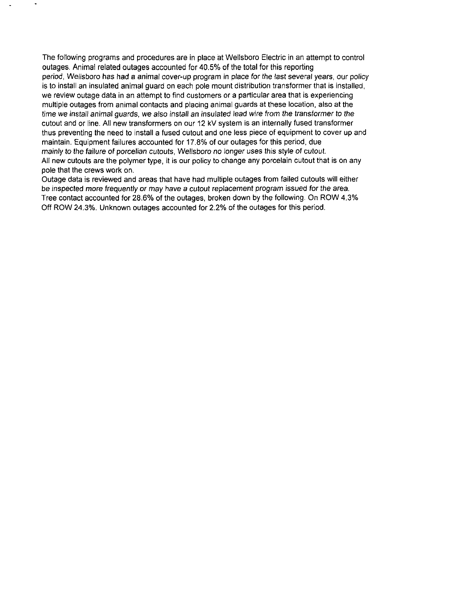The following programs and procedures are in place at Wellsboro Electric in an attempt to control outages. Animal related outages accounted for 40.5% of the total for this reporting period, Wellsboro has had a animal cover-up program in place for the last several years, our policy is to install an insulated animal guard on each pole mount distribution transformer that is installed, we review outage data in an attempt to find customers or a particular area that is experiencing multiple outages from animal contacts and placing animal guards at these location, also at the time we install animal guards, we also install an insulated lead wire from the transformer to the cutout and or line. All new transformers on our 12 kV system is an internally fused transformer thus preventing the need to install a fused cutout and one less piece of equipment to cover up and maintain. Equipment failures accounted for 17.8% of our outages for this period, due mainly to the failure of porcelian cutouts, Wellsboro no longer uses this style of cutout. All new cutouts are the polymer type, it is our policy to change any porcelain cutout that is on any pole that the crews work on.

Outage data is reviewed and areas that have had multiple outages from failed cutouts will either be inspected more frequently or may have a cutout replacement program issued for the area. Tree contact accounted for 28.6% of the outages, broken down by the following, On ROW 4.3% Off ROW 24.3%. Unknown outages accounted for 2.2% of the outages for this period.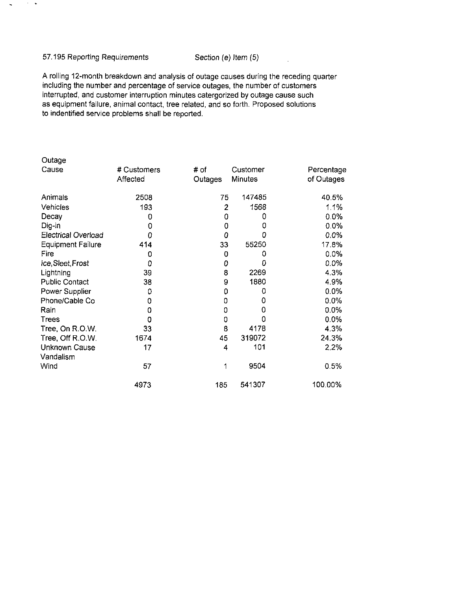#### 57.195 Reporting Requirements Section (e) Item (5)

 $\sim 10^{-1}$   $\sim$ 

 $\sim$ 

A rolling 12-month breakdown and analysis of outage causes during the receding quarter including the number and percentage of service outages, the number of customers interrupted, and customer interruption minutes catergorized by outage cause such as equipment failure, animal contact, tree related, and so forth. Proposed solutions to indentified service problems shall be reported.

| Outage                     |             |         |                |            |
|----------------------------|-------------|---------|----------------|------------|
| Cause                      | # Customers | # of    | Customer       | Percentage |
|                            | Affected    | Outages | <b>Minutes</b> | of Outages |
| Animals                    | 2508        | 75      | 147485         | 40.5%      |
| Vehicles                   | 193         | 2       | 1568           | 1.1%       |
| Decay                      | 0           | 0       | 0              | 0.0%       |
| Dig-in                     | 0           | 0       | 0              | 0.0%       |
| <b>Electrical Overload</b> | 0           | 0       | 0              | 0.0%       |
| <b>Equipment Failure</b>   | 414         | 33      | 55250          | 17.8%      |
| Fire                       | 0           | 0       | 0              | 0.0%       |
| ice, Sleet, Frost          | 0           | 0       | 0              | $0.0\%$    |
| Lightning                  | 39          | 8       | 2269           | 4.3%       |
| <b>Public Contact</b>      | 38          | 9       | 1880           | 4.9%       |
| Power Supplier             | 0           | 0       | 0              | 0.0%       |
| Phone/Cable Co             | 0           | 0       | 0              | 0.0%       |
| Rain                       | 0           | 0       | 0              | 0.0%       |
| <b>Trees</b>               | 0           | 0       | ٥              | 0.0%       |
| Tree, On R.O.W.            | 33          | 8       | 4178           | 4.3%       |
| Tree, Off R.O.W.           | 1674        | 45      | 319072         | 24.3%      |
| <b>Unknown Cause</b>       | 17          | 4       | 101            | 2.2%       |
| Vandalism                  |             |         |                |            |
| Wind                       | 57          | 1       | 9504           | 0.5%       |
|                            | 4973        | 185     | 541307         | 100.00%    |